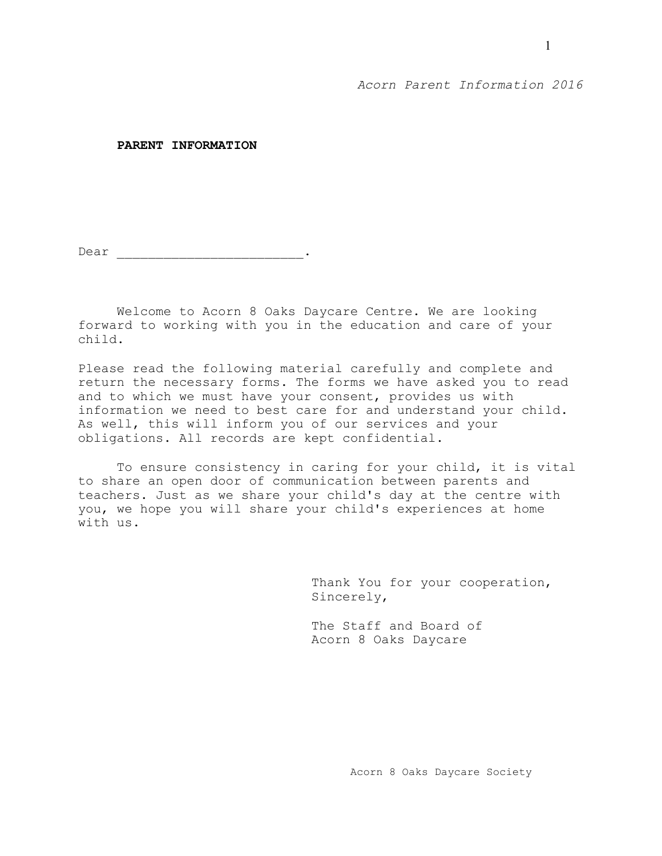**PARENT INFORMATION**

Dear \_\_\_\_\_\_\_\_\_\_\_\_\_\_\_\_\_\_\_\_\_\_\_\_.

Welcome to Acorn 8 Oaks Daycare Centre. We are looking forward to working with you in the education and care of your child.

Please read the following material carefully and complete and return the necessary forms. The forms we have asked you to read and to which we must have your consent, provides us with information we need to best care for and understand your child. As well, this will inform you of our services and your obligations. All records are kept confidential.

To ensure consistency in caring for your child, it is vital to share an open door of communication between parents and teachers. Just as we share your child's day at the centre with you, we hope you will share your child's experiences at home with us.

> Thank You for your cooperation, Sincerely,

The Staff and Board of Acorn 8 Oaks Daycare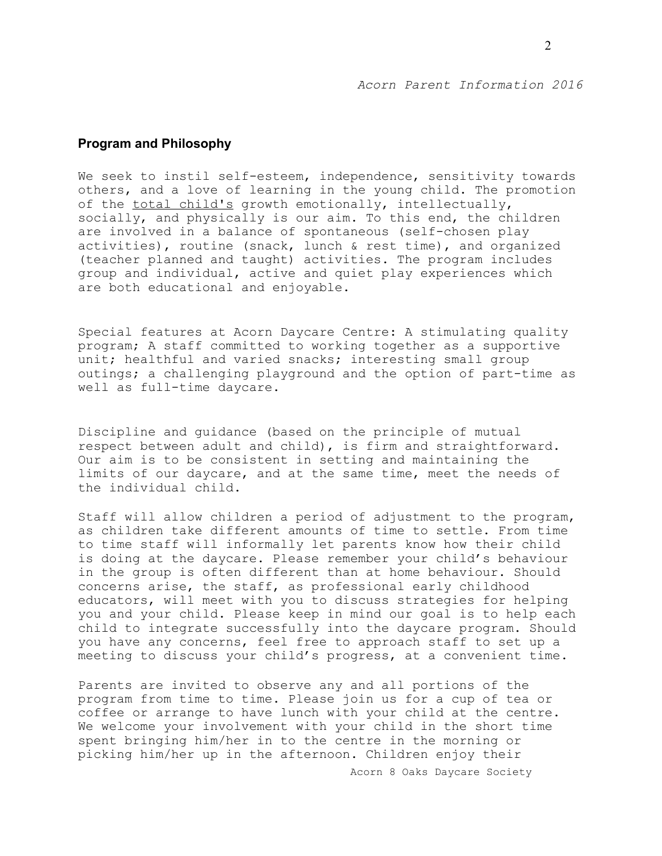# **Program and Philosophy**

We seek to instil self-esteem, independence, sensitivity towards others, and a love of learning in the young child. The promotion of the total child's growth emotionally, intellectually, socially, and physically is our aim. To this end, the children are involved in a balance of spontaneous (self-chosen play activities), routine (snack, lunch & rest time), and organized (teacher planned and taught) activities. The program includes group and individual, active and quiet play experiences which are both educational and enjoyable.

Special features at Acorn Daycare Centre: A stimulating quality program; A staff committed to working together as a supportive unit; healthful and varied snacks; interesting small group outings; a challenging playground and the option of part-time as well as full-time daycare.

Discipline and guidance (based on the principle of mutual respect between adult and child), is firm and straightforward. Our aim is to be consistent in setting and maintaining the limits of our daycare, and at the same time, meet the needs of the individual child.

Staff will allow children a period of adjustment to the program, as children take different amounts of time to settle. From time to time staff will informally let parents know how their child is doing at the daycare. Please remember your child's behaviour in the group is often different than at home behaviour. Should concerns arise, the staff, as professional early childhood educators, will meet with you to discuss strategies for helping you and your child. Please keep in mind our goal is to help each child to integrate successfully into the daycare program. Should you have any concerns, feel free to approach staff to set up a meeting to discuss your child's progress, at a convenient time.

Parents are invited to observe any and all portions of the program from time to time. Please join us for a cup of tea or coffee or arrange to have lunch with your child at the centre. We welcome your involvement with your child in the short time spent bringing him/her in to the centre in the morning or picking him/her up in the afternoon. Children enjoy their

Acorn 8 Oaks Daycare Society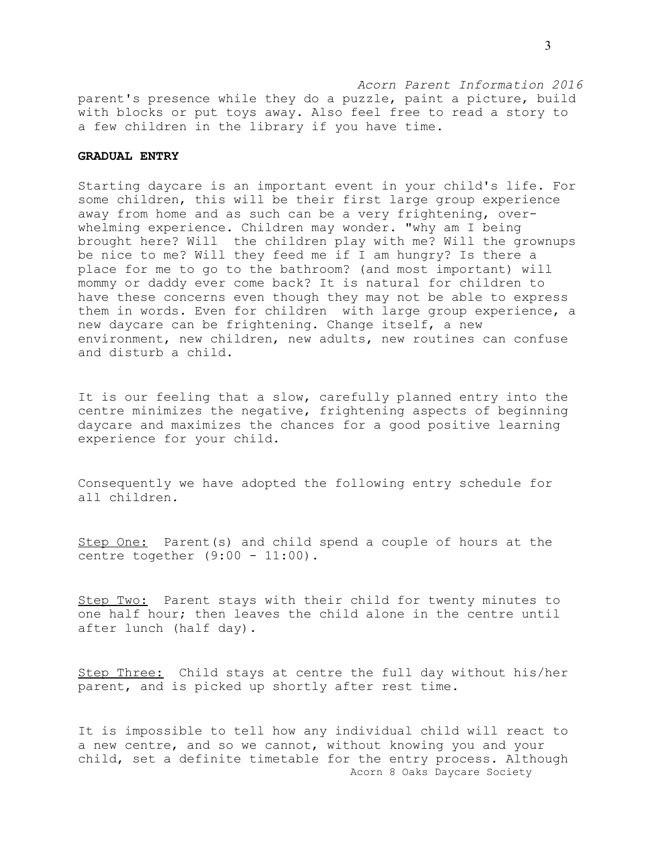*Acorn Parent Information 2016* parent's presence while they do a puzzle, paint a picture, build with blocks or put toys away. Also feel free to read a story to a few children in the library if you have time.

# **GRADUAL ENTRY**

Starting daycare is an important event in your child's life. For some children, this will be their first large group experience away from home and as such can be a very frightening, overwhelming experience. Children may wonder. "why am I being brought here? Will the children play with me? Will the grownups be nice to me? Will they feed me if I am hungry? Is there a place for me to go to the bathroom? (and most important) will mommy or daddy ever come back? It is natural for children to have these concerns even though they may not be able to express them in words. Even for children with large group experience, a new daycare can be frightening. Change itself, a new environment, new children, new adults, new routines can confuse and disturb a child.

It is our feeling that a slow, carefully planned entry into the centre minimizes the negative, frightening aspects of beginning daycare and maximizes the chances for a good positive learning experience for your child.

Consequently we have adopted the following entry schedule for all children.

Step One: Parent(s) and child spend a couple of hours at the centre together (9:00 - 11:00).

Step Two: Parent stays with their child for twenty minutes to one half hour; then leaves the child alone in the centre until after lunch (half day).

Step Three: Child stays at centre the full day without his/her parent, and is picked up shortly after rest time.

It is impossible to tell how any individual child will react to a new centre, and so we cannot, without knowing you and your child, set a definite timetable for the entry process. Although Acorn 8 Oaks Daycare Society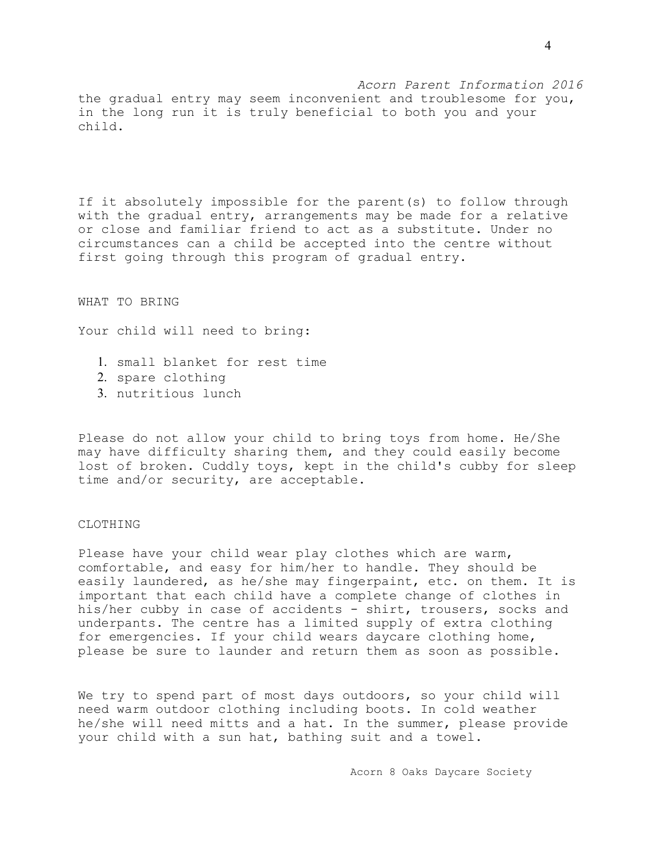*Acorn Parent Information 2016* the gradual entry may seem inconvenient and troublesome for you, in the long run it is truly beneficial to both you and your child.

If it absolutely impossible for the parent(s) to follow through with the gradual entry, arrangements may be made for a relative or close and familiar friend to act as a substitute. Under no circumstances can a child be accepted into the centre without first going through this program of gradual entry.

WHAT TO BRING

Your child will need to bring:

- 1. small blanket for rest time
- 2. spare clothing
- 3. nutritious lunch

Please do not allow your child to bring toys from home. He/She may have difficulty sharing them, and they could easily become lost of broken. Cuddly toys, kept in the child's cubby for sleep time and/or security, are acceptable.

## CLOTHING

Please have your child wear play clothes which are warm, comfortable, and easy for him/her to handle. They should be easily laundered, as he/she may fingerpaint, etc. on them. It is important that each child have a complete change of clothes in his/her cubby in case of accidents - shirt, trousers, socks and underpants. The centre has a limited supply of extra clothing for emergencies. If your child wears daycare clothing home, please be sure to launder and return them as soon as possible.

We try to spend part of most days outdoors, so your child will need warm outdoor clothing including boots. In cold weather he/she will need mitts and a hat. In the summer, please provide your child with a sun hat, bathing suit and a towel.

Acorn 8 Oaks Daycare Society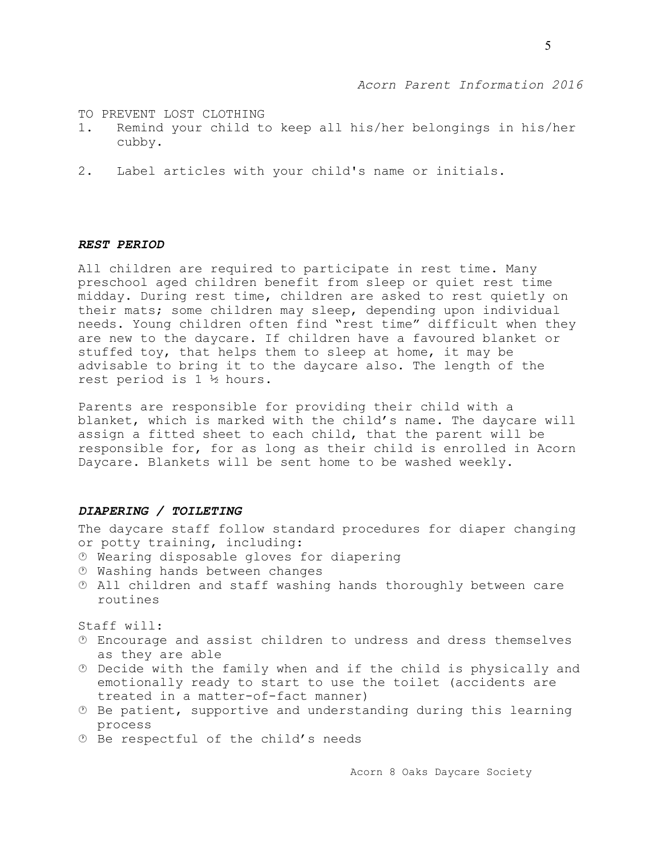TO PREVENT LOST CLOTHING

- 1. Remind your child to keep all his/her belongings in his/her cubby.
- 2. Label articles with your child's name or initials.

# *REST PERIOD*

All children are required to participate in rest time. Many preschool aged children benefit from sleep or quiet rest time midday. During rest time, children are asked to rest quietly on their mats; some children may sleep, depending upon individual needs. Young children often find "rest time" difficult when they are new to the daycare. If children have a favoured blanket or stuffed toy, that helps them to sleep at home, it may be advisable to bring it to the daycare also. The length of the rest period is 1 ½ hours.

Parents are responsible for providing their child with a blanket, which is marked with the child's name. The daycare will assign a fitted sheet to each child, that the parent will be responsible for, for as long as their child is enrolled in Acorn Daycare. Blankets will be sent home to be washed weekly.

# *DIAPERING / TOILETING*

The daycare staff follow standard procedures for diaper changing or potty training, including:

- Wearing disposable gloves for diapering
- Washing hands between changes
- All children and staff washing hands thoroughly between care routines

Staff will:

- Encourage and assist children to undress and dress themselves as they are able
- $<sup>①</sup>$  Decide with the family when and if the child is physically and</sup> emotionally ready to start to use the toilet (accidents are treated in a matter-of-fact manner)
- $\odot$  Be patient, supportive and understanding during this learning process
- Be respectful of the child's needs

Acorn 8 Oaks Daycare Society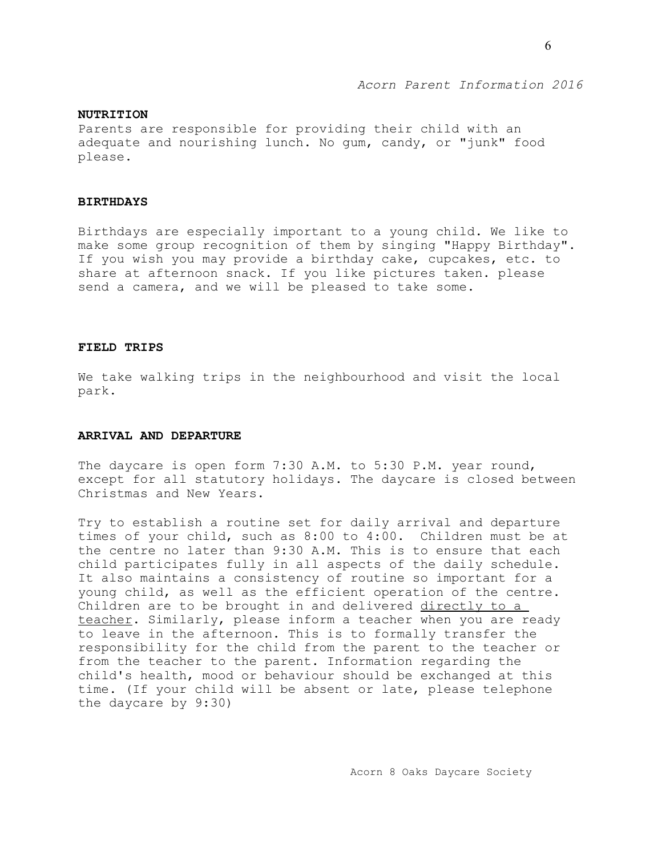## **NUTRITION**

Parents are responsible for providing their child with an adequate and nourishing lunch. No gum, candy, or "junk" food please.

### **BIRTHDAYS**

Birthdays are especially important to a young child. We like to make some group recognition of them by singing "Happy Birthday". If you wish you may provide a birthday cake, cupcakes, etc. to share at afternoon snack. If you like pictures taken. please send a camera, and we will be pleased to take some.

## **FIELD TRIPS**

We take walking trips in the neighbourhood and visit the local park.

## **ARRIVAL AND DEPARTURE**

The daycare is open form 7:30 A.M. to 5:30 P.M. year round, except for all statutory holidays. The daycare is closed between Christmas and New Years.

Try to establish a routine set for daily arrival and departure times of your child, such as 8:00 to 4:00. Children must be at the centre no later than 9:30 A.M. This is to ensure that each child participates fully in all aspects of the daily schedule. It also maintains a consistency of routine so important for a young child, as well as the efficient operation of the centre. Children are to be brought in and delivered directly to a teacher. Similarly, please inform a teacher when you are ready to leave in the afternoon. This is to formally transfer the responsibility for the child from the parent to the teacher or from the teacher to the parent. Information regarding the child's health, mood or behaviour should be exchanged at this time. (If your child will be absent or late, please telephone the daycare by 9:30)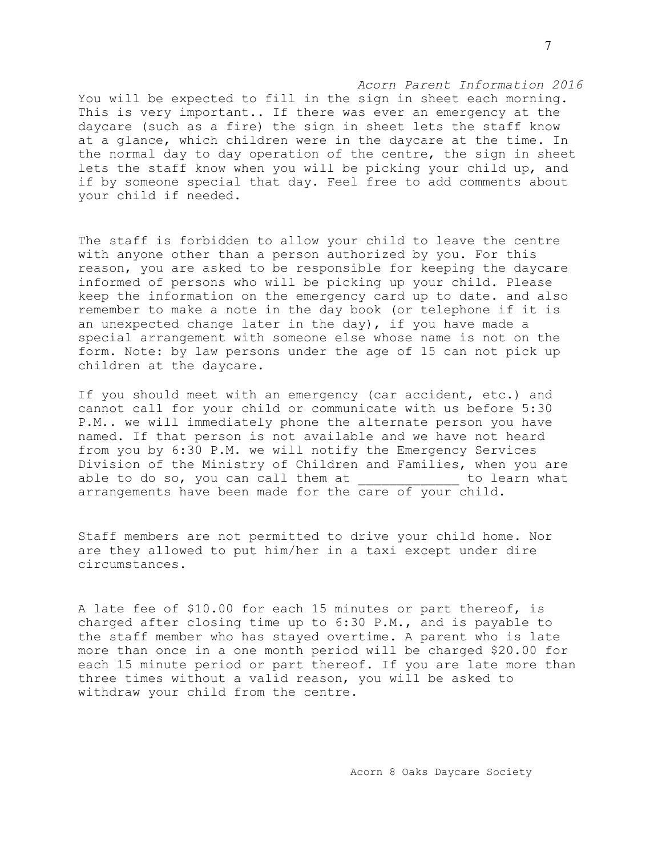*Acorn Parent Information 2016* You will be expected to fill in the sign in sheet each morning. This is very important.. If there was ever an emergency at the daycare (such as a fire) the sign in sheet lets the staff know at a glance, which children were in the daycare at the time. In the normal day to day operation of the centre, the sign in sheet lets the staff know when you will be picking your child up, and if by someone special that day. Feel free to add comments about your child if needed.

The staff is forbidden to allow your child to leave the centre with anyone other than a person authorized by you. For this reason, you are asked to be responsible for keeping the daycare informed of persons who will be picking up your child. Please keep the information on the emergency card up to date. and also remember to make a note in the day book (or telephone if it is an unexpected change later in the day), if you have made a special arrangement with someone else whose name is not on the form. Note: by law persons under the age of 15 can not pick up children at the daycare.

If you should meet with an emergency (car accident, etc.) and cannot call for your child or communicate with us before 5:30 P.M.. we will immediately phone the alternate person you have named. If that person is not available and we have not heard from you by 6:30 P.M. we will notify the Emergency Services Division of the Ministry of Children and Families, when you are able to do so, you can call them at Them to learn what arrangements have been made for the care of your child.

Staff members are not permitted to drive your child home. Nor are they allowed to put him/her in a taxi except under dire circumstances.

A late fee of \$10.00 for each 15 minutes or part thereof, is charged after closing time up to 6:30 P.M., and is payable to the staff member who has stayed overtime. A parent who is late more than once in a one month period will be charged \$20.00 for each 15 minute period or part thereof. If you are late more than three times without a valid reason, you will be asked to withdraw your child from the centre.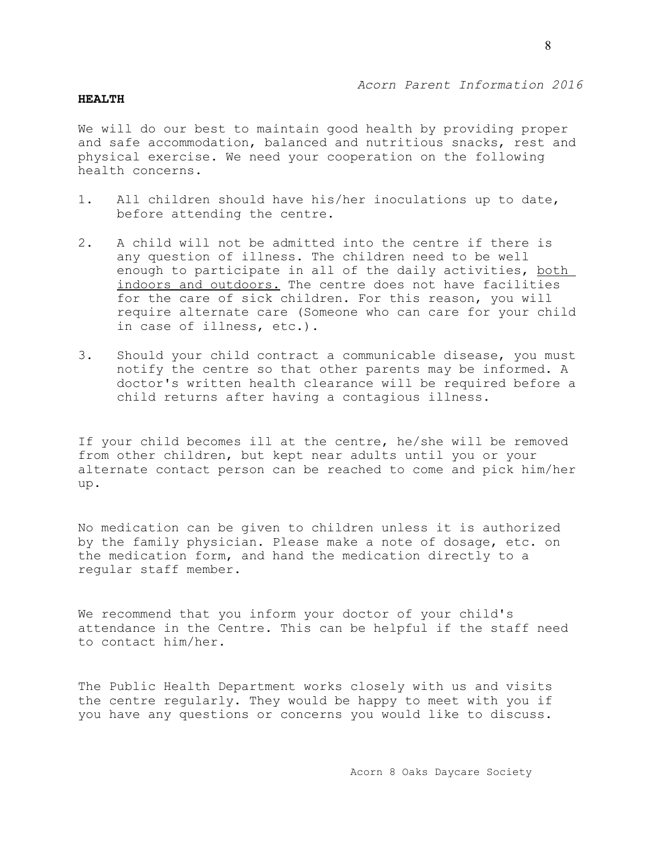#### **HEALTH**

We will do our best to maintain good health by providing proper and safe accommodation, balanced and nutritious snacks, rest and physical exercise. We need your cooperation on the following health concerns.

- 1. All children should have his/her inoculations up to date, before attending the centre.
- 2. A child will not be admitted into the centre if there is any question of illness. The children need to be well enough to participate in all of the daily activities, both indoors and outdoors. The centre does not have facilities for the care of sick children. For this reason, you will require alternate care (Someone who can care for your child in case of illness, etc.).
- 3. Should your child contract a communicable disease, you must notify the centre so that other parents may be informed. A doctor's written health clearance will be required before a child returns after having a contagious illness.

If your child becomes ill at the centre, he/she will be removed from other children, but kept near adults until you or your alternate contact person can be reached to come and pick him/her up.

No medication can be given to children unless it is authorized by the family physician. Please make a note of dosage, etc. on the medication form, and hand the medication directly to a regular staff member.

We recommend that you inform your doctor of your child's attendance in the Centre. This can be helpful if the staff need to contact him/her.

The Public Health Department works closely with us and visits the centre regularly. They would be happy to meet with you if you have any questions or concerns you would like to discuss.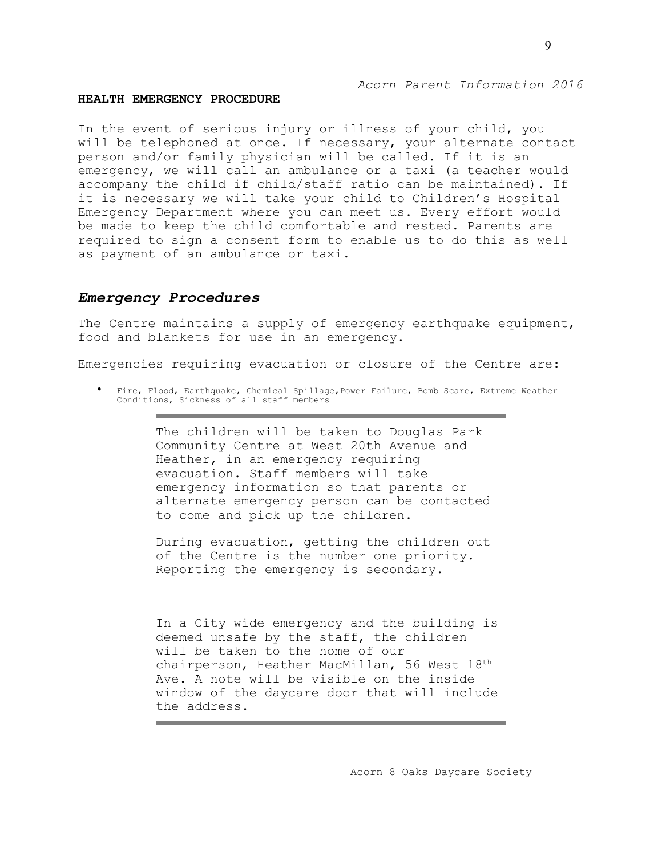#### **HEALTH EMERGENCY PROCEDURE**

In the event of serious injury or illness of your child, you will be telephoned at once. If necessary, your alternate contact person and/or family physician will be called. If it is an emergency, we will call an ambulance or a taxi (a teacher would accompany the child if child/staff ratio can be maintained). If it is necessary we will take your child to Children's Hospital Emergency Department where you can meet us. Every effort would be made to keep the child comfortable and rested. Parents are required to sign a consent form to enable us to do this as well as payment of an ambulance or taxi.

### *Emergency Procedures*

The Centre maintains a supply of emergency earthquake equipment, food and blankets for use in an emergency.

Emergencies requiring evacuation or closure of the Centre are:

• Fire, Flood, Earthquake, Chemical Spillage,Power Failure, Bomb Scare, Extreme Weather Conditions, Sickness of all staff members

> The children will be taken to Douglas Park Community Centre at West 20th Avenue and Heather, in an emergency requiring evacuation. Staff members will take emergency information so that parents or alternate emergency person can be contacted to come and pick up the children.

> During evacuation, getting the children out of the Centre is the number one priority. Reporting the emergency is secondary.

In a City wide emergency and the building is deemed unsafe by the staff, the children will be taken to the home of our chairperson, Heather MacMillan, 56 West 18th Ave. A note will be visible on the inside window of the daycare door that will include the address.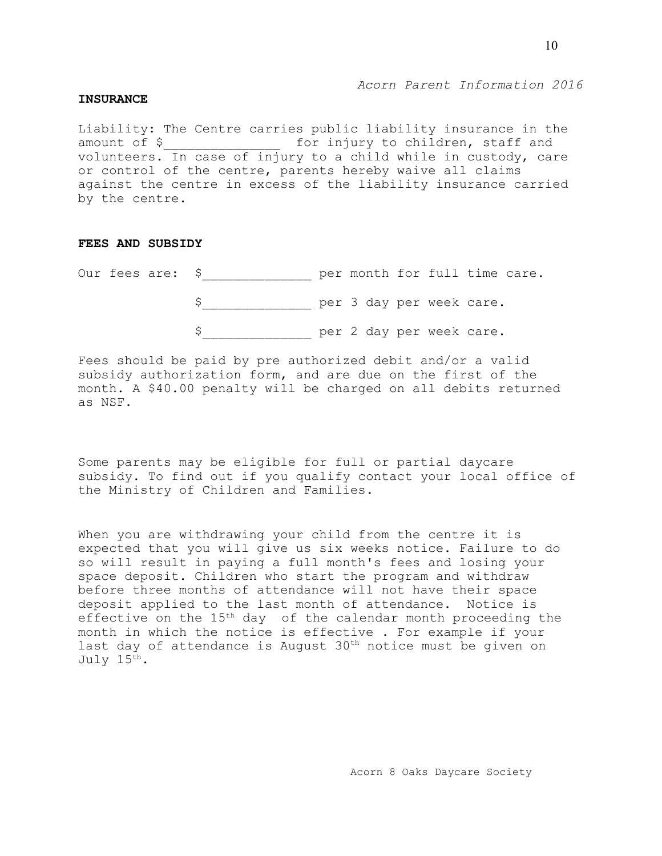### **INSURANCE**

Liability: The Centre carries public liability insurance in the amount of \$ \_\_\_\_\_\_\_\_\_\_\_\_\_\_\_\_\_\_ for injury to children, staff and volunteers. In case of injury to a child while in custody, care or control of the centre, parents hereby waive all claims against the centre in excess of the liability insurance carried by the centre.

# **FEES AND SUBSIDY**

Our fees are: \$\_\_\_\_\_\_\_\_\_\_\_\_\_\_ per month for full time care.

\$\_\_\_\_\_\_\_\_\_\_\_\_\_\_ per 3 day per week care.

\$\_\_\_\_\_\_\_\_\_\_\_\_\_\_ per 2 day per week care.

Fees should be paid by pre authorized debit and/or a valid subsidy authorization form, and are due on the first of the month. A \$40.00 penalty will be charged on all debits returned as NSF.

Some parents may be eligible for full or partial daycare subsidy. To find out if you qualify contact your local office of the Ministry of Children and Families.

When you are withdrawing your child from the centre it is expected that you will give us six weeks notice. Failure to do so will result in paying a full month's fees and losing your space deposit. Children who start the program and withdraw before three months of attendance will not have their space deposit applied to the last month of attendance. Notice is effective on the 15<sup>th</sup> day of the calendar month proceeding the month in which the notice is effective . For example if your last day of attendance is August  $30<sup>th</sup>$  notice must be given on July 15th.